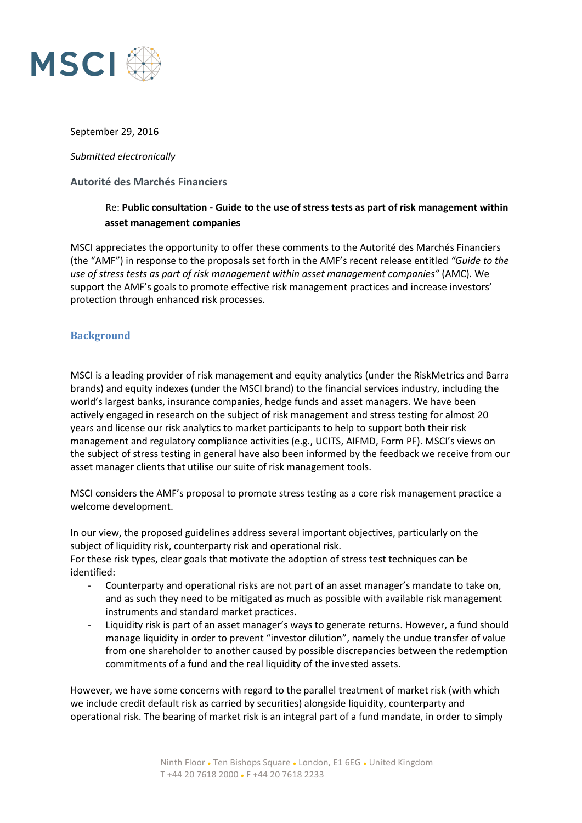

#### September 29, 2016

*Submitted electronically*

#### **Autorité des Marchés Financiers**

# Re: **Public consultation - Guide to the use of stress tests as part of risk management within asset management companies**

MSCI appreciates the opportunity to offer these comments to the Autorité des Marchés Financiers (the "AMF") in response to the proposals set forth in the AMF's recent release entitled *"Guide to the use of stress tests as part of risk management within asset management companies"* (AMC)*.* We support the AMF's goals to promote effective risk management practices and increase investors' protection through enhanced risk processes.

### **Background**

MSCI is a leading provider of risk management and equity analytics (under the RiskMetrics and Barra brands) and equity indexes (under the MSCI brand) to the financial services industry, including the world's largest banks, insurance companies, hedge funds and asset managers. We have been actively engaged in research on the subject of risk management and stress testing for almost 20 years and license our risk analytics to market participants to help to support both their risk management and regulatory compliance activities (e.g., UCITS, AIFMD, Form PF). MSCI's views on the subject of stress testing in general have also been informed by the feedback we receive from our asset manager clients that utilise our suite of risk management tools.

MSCI considers the AMF's proposal to promote stress testing as a core risk management practice a welcome development.

In our view, the proposed guidelines address several important objectives, particularly on the subject of liquidity risk, counterparty risk and operational risk.

For these risk types, clear goals that motivate the adoption of stress test techniques can be identified:

- Counterparty and operational risks are not part of an asset manager's mandate to take on, and as such they need to be mitigated as much as possible with available risk management instruments and standard market practices.
- Liquidity risk is part of an asset manager's ways to generate returns. However, a fund should manage liquidity in order to prevent "investor dilution", namely the undue transfer of value from one shareholder to another caused by possible discrepancies between the redemption commitments of a fund and the real liquidity of the invested assets.

However, we have some concerns with regard to the parallel treatment of market risk (with which we include credit default risk as carried by securities) alongside liquidity, counterparty and operational risk. The bearing of market risk is an integral part of a fund mandate, in order to simply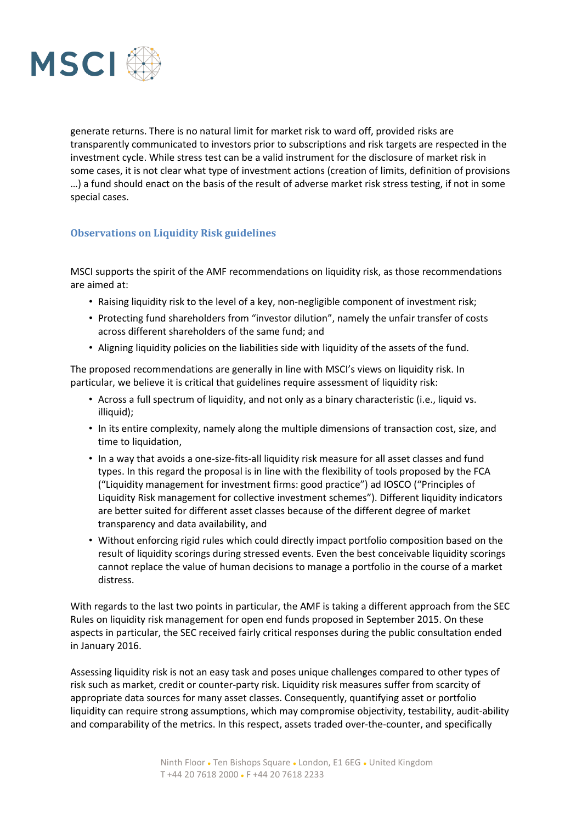

generate returns. There is no natural limit for market risk to ward off, provided risks are transparently communicated to investors prior to subscriptions and risk targets are respected in the investment cycle. While stress test can be a valid instrument for the disclosure of market risk in some cases, it is not clear what type of investment actions (creation of limits, definition of provisions …) a fund should enact on the basis of the result of adverse market risk stress testing, if not in some special cases.

## **Observations on Liquidity Risk guidelines**

MSCI supports the spirit of the AMF recommendations on liquidity risk, as those recommendations are aimed at:

- Raising liquidity risk to the level of a key, non-negligible component of investment risk;
- Protecting fund shareholders from "investor dilution", namely the unfair transfer of costs across different shareholders of the same fund; and
- Aligning liquidity policies on the liabilities side with liquidity of the assets of the fund.

The proposed recommendations are generally in line with MSCI's views on liquidity risk. In particular, we believe it is critical that guidelines require assessment of liquidity risk:

- Across a full spectrum of liquidity, and not only as a binary characteristic (i.e., liquid vs. illiquid);
- In its entire complexity, namely along the multiple dimensions of transaction cost, size, and time to liquidation,
- In a way that avoids a one-size-fits-all liquidity risk measure for all asset classes and fund types. In this regard the proposal is in line with the flexibility of tools proposed by the FCA ("Liquidity management for investment firms: good practice") ad IOSCO ("Principles of Liquidity Risk management for collective investment schemes"). Different liquidity indicators are better suited for different asset classes because of the different degree of market transparency and data availability, and
- Without enforcing rigid rules which could directly impact portfolio composition based on the result of liquidity scorings during stressed events. Even the best conceivable liquidity scorings cannot replace the value of human decisions to manage a portfolio in the course of a market distress.

With regards to the last two points in particular, the AMF is taking a different approach from the SEC Rules on liquidity risk management for open end funds proposed in September 2015. On these aspects in particular, the SEC received fairly critical responses during the public consultation ended in January 2016.

Assessing liquidity risk is not an easy task and poses unique challenges compared to other types of risk such as market, credit or counter-party risk. Liquidity risk measures suffer from scarcity of appropriate data sources for many asset classes. Consequently, quantifying asset or portfolio liquidity can require strong assumptions, which may compromise objectivity, testability, audit-ability and comparability of the metrics. In this respect, assets traded over-the-counter, and specifically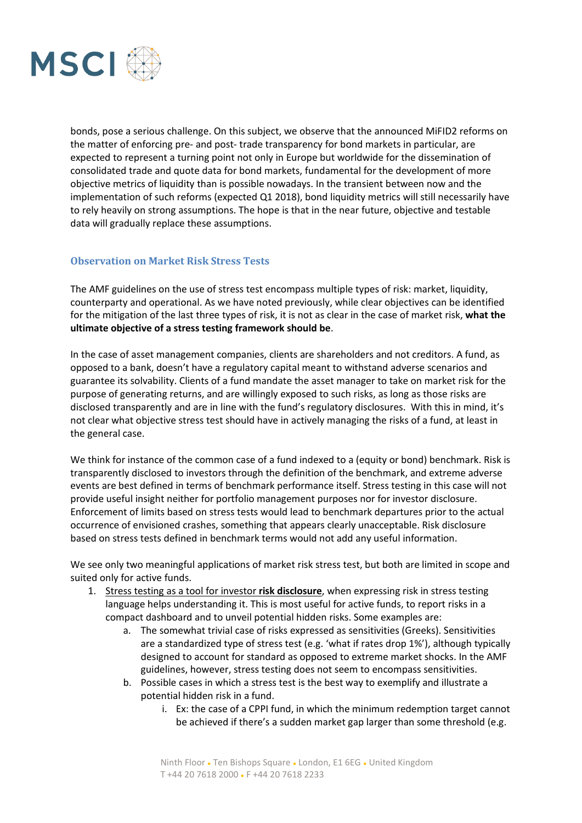

bonds, pose a serious challenge. On this subject, we observe that the announced MiFID2 reforms on the matter of enforcing pre- and post- trade transparency for bond markets in particular, are expected to represent a turning point not only in Europe but worldwide for the dissemination of consolidated trade and quote data for bond markets, fundamental for the development of more objective metrics of liquidity than is possible nowadays. In the transient between now and the implementation of such reforms (expected Q1 2018), bond liquidity metrics will still necessarily have to rely heavily on strong assumptions. The hope is that in the near future, objective and testable data will gradually replace these assumptions.

### **Observation on Market Risk Stress Tests**

The AMF guidelines on the use of stress test encompass multiple types of risk: market, liquidity, counterparty and operational. As we have noted previously, while clear objectives can be identified for the mitigation of the last three types of risk, it is not as clear in the case of market risk, **what the ultimate objective of a stress testing framework should be**.

In the case of asset management companies, clients are shareholders and not creditors. A fund, as opposed to a bank, doesn't have a regulatory capital meant to withstand adverse scenarios and guarantee its solvability. Clients of a fund mandate the asset manager to take on market risk for the purpose of generating returns, and are willingly exposed to such risks, as long as those risks are disclosed transparently and are in line with the fund's regulatory disclosures. With this in mind, it's not clear what objective stress test should have in actively managing the risks of a fund, at least in the general case.

We think for instance of the common case of a fund indexed to a (equity or bond) benchmark. Risk is transparently disclosed to investors through the definition of the benchmark, and extreme adverse events are best defined in terms of benchmark performance itself. Stress testing in this case will not provide useful insight neither for portfolio management purposes nor for investor disclosure. Enforcement of limits based on stress tests would lead to benchmark departures prior to the actual occurrence of envisioned crashes, something that appears clearly unacceptable. Risk disclosure based on stress tests defined in benchmark terms would not add any useful information.

We see only two meaningful applications of market risk stress test, but both are limited in scope and suited only for active funds.

- 1. Stress testing as a tool for investor **risk disclosure**, when expressing risk in stress testing language helps understanding it. This is most useful for active funds, to report risks in a compact dashboard and to unveil potential hidden risks. Some examples are:
	- a. The somewhat trivial case of risks expressed as sensitivities (Greeks). Sensitivities are a standardized type of stress test (e.g. 'what if rates drop 1%'), although typically designed to account for standard as opposed to extreme market shocks. In the AMF guidelines, however, stress testing does not seem to encompass sensitivities.
	- b. Possible cases in which a stress test is the best way to exemplify and illustrate a potential hidden risk in a fund.
		- i. Ex: the case of a CPPI fund, in which the minimum redemption target cannot be achieved if there's a sudden market gap larger than some threshold (e.g.